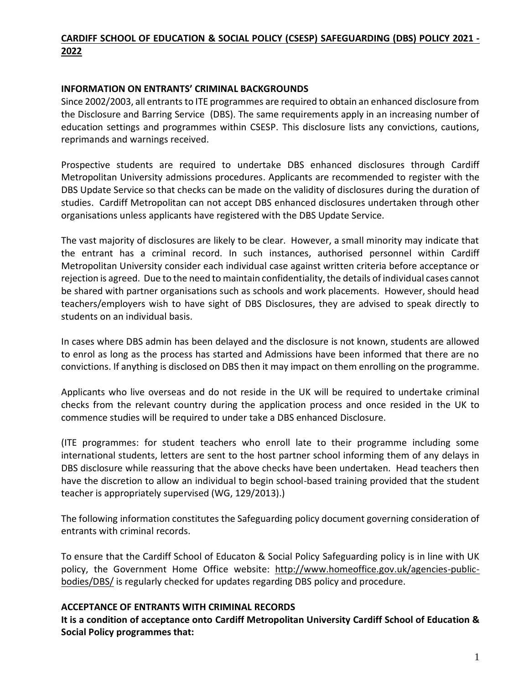# **CARDIFF SCHOOL OF EDUCATION & SOCIAL POLICY (CSESP) SAFEGUARDING (DBS) POLICY 2021 - 2022**

#### **INFORMATION ON ENTRANTS' CRIMINAL BACKGROUNDS**

Since 2002/2003, all entrants to ITE programmes are required to obtain an enhanced disclosure from the Disclosure and Barring Service (DBS). The same requirements apply in an increasing number of education settings and programmes within CSESP. This disclosure lists any convictions, cautions, reprimands and warnings received.

Prospective students are required to undertake DBS enhanced disclosures through Cardiff Metropolitan University admissions procedures. Applicants are recommended to register with the DBS Update Service so that checks can be made on the validity of disclosures during the duration of studies. Cardiff Metropolitan can not accept DBS enhanced disclosures undertaken through other organisations unless applicants have registered with the DBS Update Service.

The vast majority of disclosures are likely to be clear. However, a small minority may indicate that the entrant has a criminal record. In such instances, authorised personnel within Cardiff Metropolitan University consider each individual case against written criteria before acceptance or rejection is agreed. Due to the need to maintain confidentiality, the details of individual cases cannot be shared with partner organisations such as schools and work placements. However, should head teachers/employers wish to have sight of DBS Disclosures, they are advised to speak directly to students on an individual basis.

In cases where DBS admin has been delayed and the disclosure is not known, students are allowed to enrol as long as the process has started and Admissions have been informed that there are no convictions. If anything is disclosed on DBS then it may impact on them enrolling on the programme.

Applicants who live overseas and do not reside in the UK will be required to undertake criminal checks from the relevant country during the application process and once resided in the UK to commence studies will be required to under take a DBS enhanced Disclosure.

(ITE programmes: for student teachers who enroll late to their programme including some international students, letters are sent to the host partner school informing them of any delays in DBS disclosure while reassuring that the above checks have been undertaken. Head teachers then have the discretion to allow an individual to begin school-based training provided that the student teacher is appropriately supervised (WG, 129/2013).)

The following information constitutes the Safeguarding policy document governing consideration of entrants with criminal records.

To ensure that the Cardiff School of Educaton & Social Policy Safeguarding policy is in line with UK policy, the Government Home Office website: [http://www.homeoffice.gov.uk/agencies-public](http://www.homeoffice.gov.uk/agencies-public-bodies/crb/)[bodies/DBS/](http://www.homeoffice.gov.uk/agencies-public-bodies/crb/) is regularly checked for updates regarding DBS policy and procedure.

#### **ACCEPTANCE OF ENTRANTS WITH CRIMINAL RECORDS**

**It is a condition of acceptance onto Cardiff Metropolitan University Cardiff School of Education & Social Policy programmes that:**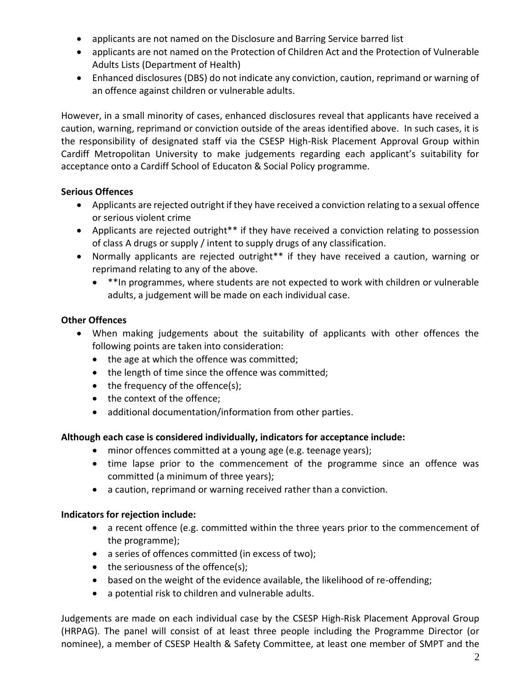- applicants are not named on the Disclosure and Barring Service barred list
- applicants are not named on the Protection of Children Act and the Protection of Vulnerable Adults Lists (Department of Health)
- Enhanced disclosures (DBS) do not indicate any conviction, caution, reprimand or warning of an offence against children or vulnerable adults.

However, in a small minority of cases, enhanced disclosures reveal that applicants have received a caution, warning, reprimand or conviction outside of the areas identified above. In such cases, it is the responsibility of designated staff via the CSESP High-Risk Placement Approval Group within Cardiff Metropolitan University to make judgements regarding each applicant's suitability for acceptance onto a Cardiff School of Educaton & Social Policy programme.

## **Serious Offences**

- Applicants are rejected outright if they have received a conviction relating to a sexual offence or serious violent crime
- Applicants are rejected outright\*\* if they have received a conviction relating to possession of class A drugs or supply / intent to supply drugs of any classification.
- Normally applicants are rejected outright<sup>\*\*</sup> if they have received a caution, warning or reprimand relating to any of the above.
	- \*\*In programmes, where students are not expected to work with children or vulnerable adults, a judgement will be made on each individual case.

# **Other Offences**

- When making judgements about the suitability of applicants with other offences the following points are taken into consideration:
	- the age at which the offence was committed;
	- the length of time since the offence was committed;
	- the frequency of the offence(s);
	- the context of the offence;
	- additional documentation/information from other parties.

## **Although each case is considered individually, indicators for acceptance include:**

- minor offences committed at a young age (e.g. teenage years);
- time lapse prior to the commencement of the programme since an offence was committed (a minimum of three years);
- a caution, reprimand or warning received rather than a conviction.

## **Indicators for rejection include:**

- a recent offence (e.g. committed within the three years prior to the commencement of the programme);
- a series of offences committed (in excess of two);
- the seriousness of the offence(s);
- based on the weight of the evidence available, the likelihood of re-offending;
- a potential risk to children and vulnerable adults.

Judgements are made on each individual case by the CSESP High-Risk Placement Approval Group (HRPAG). The panel will consist of at least three people including the Programme Director (or nominee), a member of CSESP Health & Safety Committee, at least one member of SMPT and the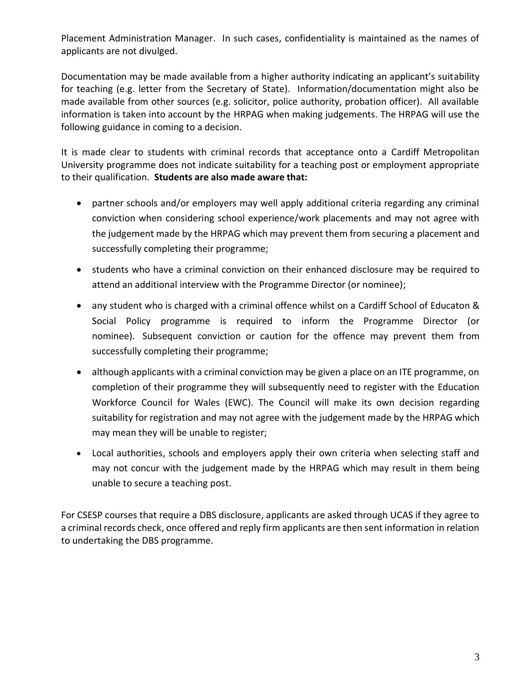Placement Administration Manager. In such cases, confidentiality is maintained as the names of applicants are not divulged.

Documentation may be made available from a higher authority indicating an applicant's suitability for teaching (e.g. letter from the Secretary of State). Information/documentation might also be made available from other sources (e.g. solicitor, police authority, probation officer). All available information is taken into account by the HRPAG when making judgements. The HRPAG will use the following guidance in coming to a decision.

It is made clear to students with criminal records that acceptance onto a Cardiff Metropolitan University programme does not indicate suitability for a teaching post or employment appropriate to their qualification. **Students are also made aware that:**

- partner schools and/or employers may well apply additional criteria regarding any criminal conviction when considering school experience/work placements and may not agree with the judgement made by the HRPAG which may prevent them from securing a placement and successfully completing their programme;
- students who have a criminal conviction on their enhanced disclosure may be required to attend an additional interview with the Programme Director (or nominee);
- any student who is charged with a criminal offence whilst on a Cardiff School of Educaton & Social Policy programme is required to inform the Programme Director (or nominee). Subsequent conviction or caution for the offence may prevent them from successfully completing their programme;
- although applicants with a criminal conviction may be given a place on an ITE programme, on completion of their programme they will subsequently need to register with the Education Workforce Council for Wales (EWC). The Council will make its own decision regarding suitability for registration and may not agree with the judgement made by the HRPAG which may mean they will be unable to register;
- Local authorities, schools and employers apply their own criteria when selecting staff and may not concur with the judgement made by the HRPAG which may result in them being unable to secure a teaching post.

For CSESP courses that require a DBS disclosure, applicants are asked through UCAS if they agree to a criminal records check, once offered and reply firm applicants are then sent information in relation to undertaking the DBS programme.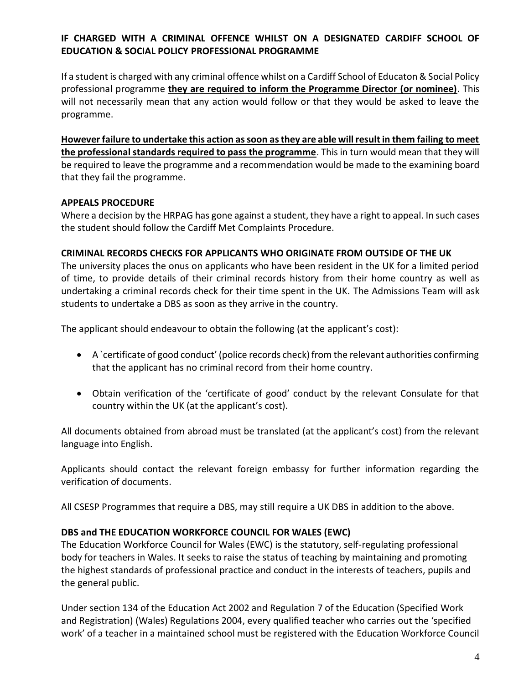## **IF CHARGED WITH A CRIMINAL OFFENCE WHILST ON A DESIGNATED CARDIFF SCHOOL OF EDUCATION & SOCIAL POLICY PROFESSIONAL PROGRAMME**

If a student is charged with any criminal offence whilst on a Cardiff School of Educaton & Social Policy professional programme **they are required to inform the Programme Director (or nominee)**. This will not necessarily mean that any action would follow or that they would be asked to leave the programme.

**However failure to undertake this action as soon as they are able will result in them failing to meet the professional standards required to pass the programme**. This in turn would mean that they will be required to leave the programme and a recommendation would be made to the examining board that they fail the programme.

#### **APPEALS PROCEDURE**

Where a decision by the HRPAG has gone against a student, they have a right to appeal. In such cases the student should follow the Cardiff Met Complaints Procedure.

#### **CRIMINAL RECORDS CHECKS FOR APPLICANTS WHO ORIGINATE FROM OUTSIDE OF THE UK**

The university places the onus on applicants who have been resident in the UK for a limited period of time, to provide details of their criminal records history from their home country as well as undertaking a criminal records check for their time spent in the UK. The Admissions Team will ask students to undertake a DBS as soon as they arrive in the country.

The applicant should endeavour to obtain the following (at the applicant's cost):

- A `certificate of good conduct' (police records check) from the relevant authorities confirming that the applicant has no criminal record from their home country.
- Obtain verification of the 'certificate of good' conduct by the relevant Consulate for that country within the UK (at the applicant's cost).

All documents obtained from abroad must be translated (at the applicant's cost) from the relevant language into English.

Applicants should contact the relevant foreign embassy for further information regarding the verification of documents.

All CSESP Programmes that require a DBS, may still require a UK DBS in addition to the above.

#### **DBS and THE EDUCATION WORKFORCE COUNCIL FOR WALES (EWC)**

The Education Workforce Council for Wales (EWC) is the statutory, self-regulating professional body for teachers in Wales. It seeks to raise the status of teaching by maintaining and promoting the highest standards of professional practice and conduct in the interests of teachers, pupils and the general public.

Under section 134 of the Education Act 2002 and Regulation 7 of the Education (Specified Work and Registration) (Wales) Regulations 2004, every qualified teacher who carries out the 'specified work' of a teacher in a maintained school must be registered with the Education Workforce Council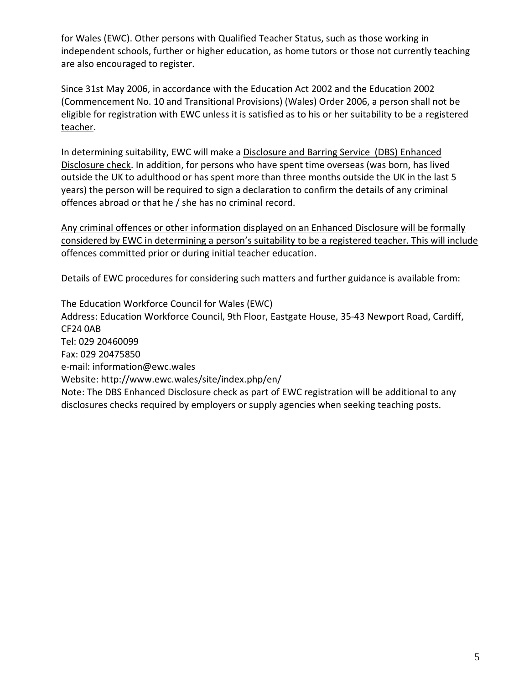for Wales (EWC). Other persons with Qualified Teacher Status, such as those working in independent schools, further or higher education, as home tutors or those not currently teaching are also encouraged to register.

Since 31st May 2006, in accordance with the Education Act 2002 and the Education 2002 (Commencement No. 10 and Transitional Provisions) (Wales) Order 2006, a person shall not be eligible for registration with EWC unless it is satisfied as to his or her suitability to be a registered teacher.

In determining suitability, EWC will make a Disclosure and Barring Service (DBS) Enhanced Disclosure check. In addition, for persons who have spent time overseas (was born, has lived outside the UK to adulthood or has spent more than three months outside the UK in the last 5 years) the person will be required to sign a declaration to confirm the details of any criminal offences abroad or that he / she has no criminal record.

Any criminal offences or other information displayed on an Enhanced Disclosure will be formally considered by EWC in determining a person's suitability to be a registered teacher. This will include offences committed prior or during initial teacher education.

Details of EWC procedures for considering such matters and further guidance is available from:

The Education Workforce Council for Wales (EWC) Address: Education Workforce Council, 9th Floor, Eastgate House, 35-43 Newport Road, Cardiff, CF24 0AB Tel: 029 20460099 Fax: 029 20475850 e-mail: [information@ewc.wales](mailto:information@ewc.wales) Website: http://www.ewc.wales/site/index.php/en/ Note: The DBS Enhanced Disclosure check as part of EWC registration will be additional to any disclosures checks required by employers or supply agencies when seeking teaching posts.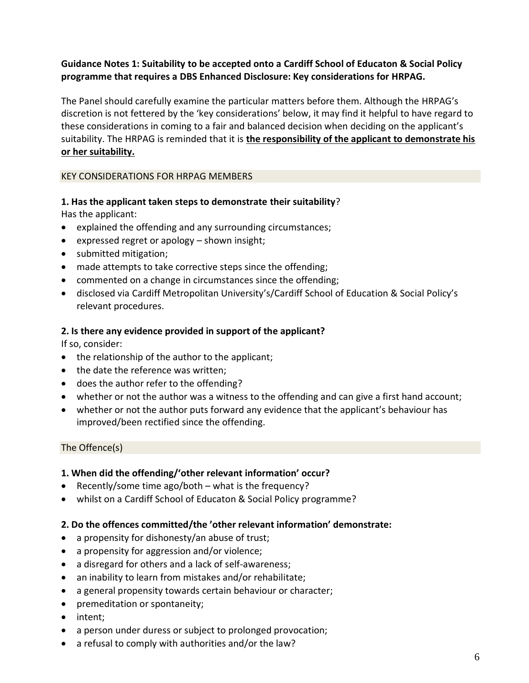## **Guidance Notes 1: Suitability to be accepted onto a Cardiff School of Educaton & Social Policy programme that requires a DBS Enhanced Disclosure: Key considerations for HRPAG.**

The Panel should carefully examine the particular matters before them. Although the HRPAG's discretion is not fettered by the 'key considerations' below, it may find it helpful to have regard to these considerations in coming to a fair and balanced decision when deciding on the applicant's suitability. The HRPAG is reminded that it is **the responsibility of the applicant to demonstrate his or her suitability.**

#### KEY CONSIDERATIONS FOR HRPAG MEMBERS

# **1. Has the applicant taken steps to demonstrate their suitability**?

Has the applicant:

- explained the offending and any surrounding circumstances;
- expressed regret or apology shown insight;
- submitted mitigation;
- made attempts to take corrective steps since the offending;
- commented on a change in circumstances since the offending;
- disclosed via Cardiff Metropolitan University's/Cardiff School of Education & Social Policy's relevant procedures.

# **2. Is there any evidence provided in support of the applicant?**

If so, consider:

- the relationship of the author to the applicant;
- the date the reference was written;
- does the author refer to the offending?
- whether or not the author was a witness to the offending and can give a first hand account;
- whether or not the author puts forward any evidence that the applicant's behaviour has improved/been rectified since the offending.

## The Offence(s)

## **1. When did the offending/'other relevant information' occur?**

- Recently/some time ago/both what is the frequency?
- whilst on a Cardiff School of Educaton & Social Policy programme?

# **2. Do the offences committed/the 'other relevant information' demonstrate:**

- a propensity for dishonesty/an abuse of trust;
- a propensity for aggression and/or violence;
- a disregard for others and a lack of self-awareness;
- an inability to learn from mistakes and/or rehabilitate;
- a general propensity towards certain behaviour or character;
- premeditation or spontaneity;
- intent;
- a person under duress or subject to prolonged provocation;
- a refusal to comply with authorities and/or the law?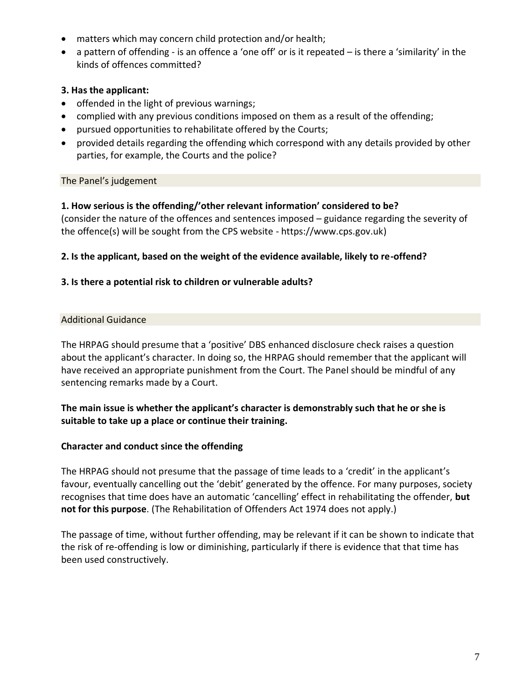- matters which may concern child protection and/or health;
- a pattern of offending is an offence a 'one off' or is it repeated is there a 'similarity' in the kinds of offences committed?

# **3. Has the applicant:**

- offended in the light of previous warnings;
- complied with any previous conditions imposed on them as a result of the offending;
- pursued opportunities to rehabilitate offered by the Courts;
- provided details regarding the offending which correspond with any details provided by other parties, for example, the Courts and the police?

## The Panel's judgement

## **1. How serious is the offending/'other relevant information' considered to be?**

(consider the nature of the offences and sentences imposed – guidance regarding the severity of the offence(s) will be sought from the CPS website - https://www.cps.gov.uk)

## **2. Is the applicant, based on the weight of the evidence available, likely to re-offend?**

## **3. Is there a potential risk to children or vulnerable adults?**

# Additional Guidance

The HRPAG should presume that a 'positive' DBS enhanced disclosure check raises a question about the applicant's character. In doing so, the HRPAG should remember that the applicant will have received an appropriate punishment from the Court. The Panel should be mindful of any sentencing remarks made by a Court.

# **The main issue is whether the applicant's character is demonstrably such that he or she is suitable to take up a place or continue their training.**

## **Character and conduct since the offending**

The HRPAG should not presume that the passage of time leads to a 'credit' in the applicant's favour, eventually cancelling out the 'debit' generated by the offence. For many purposes, society recognises that time does have an automatic 'cancelling' effect in rehabilitating the offender, **but not for this purpose**. (The Rehabilitation of Offenders Act 1974 does not apply.)

The passage of time, without further offending, may be relevant if it can be shown to indicate that the risk of re-offending is low or diminishing, particularly if there is evidence that that time has been used constructively.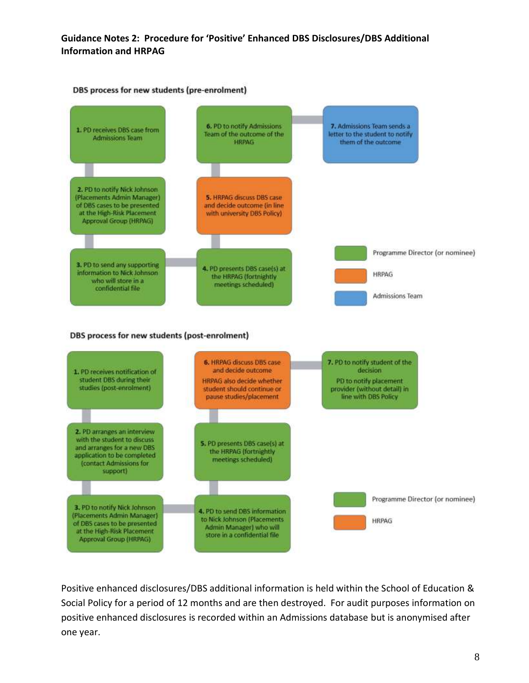#### **Guidance Notes 2: Procedure for 'Positive' Enhanced DBS Disclosures/DBS Additional Information and HRPAG**



Positive enhanced disclosures/DBS additional information is held within the School of Education & Social Policy for a period of 12 months and are then destroyed. For audit purposes information on positive enhanced disclosures is recorded within an Admissions database but is anonymised after one year.